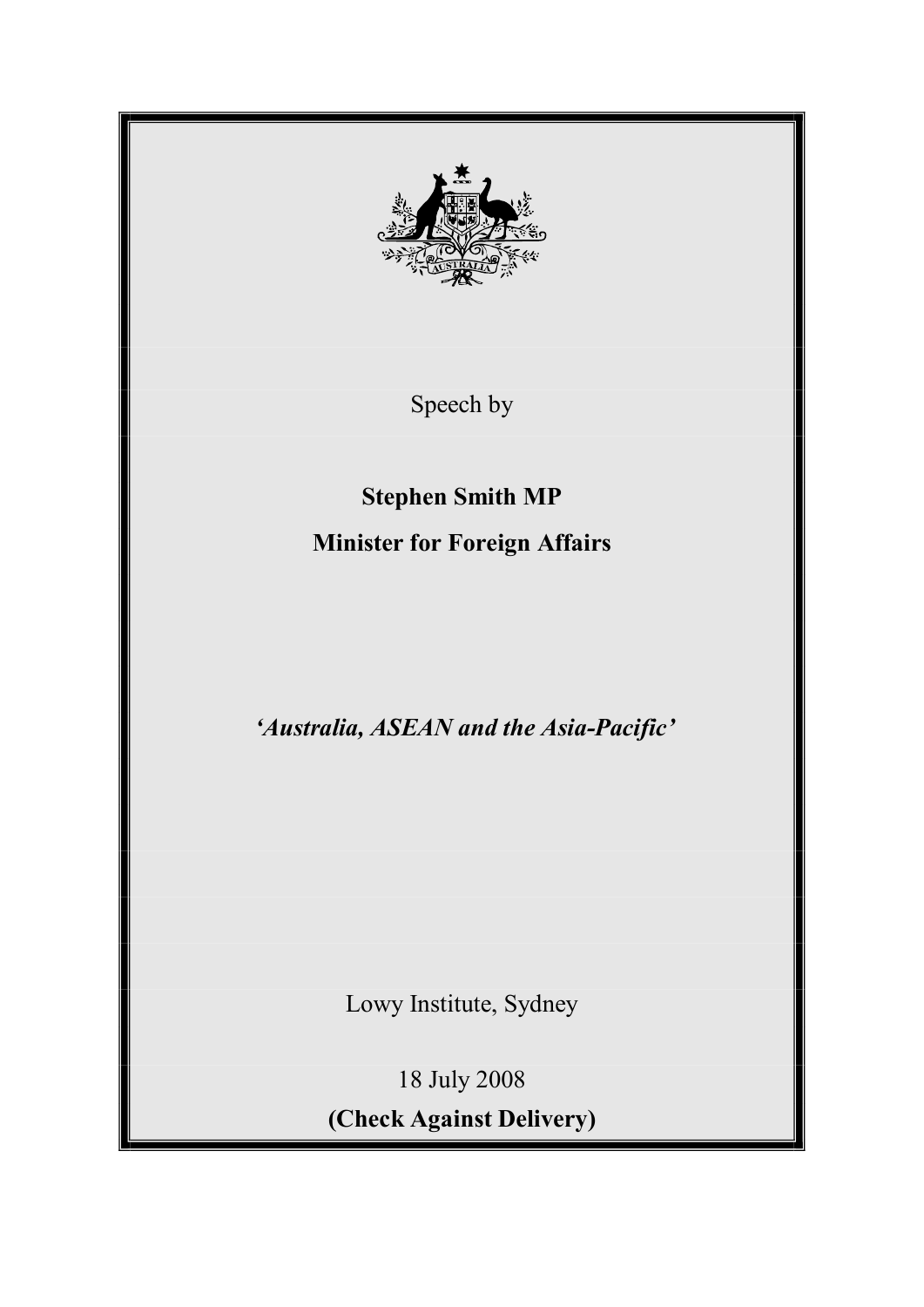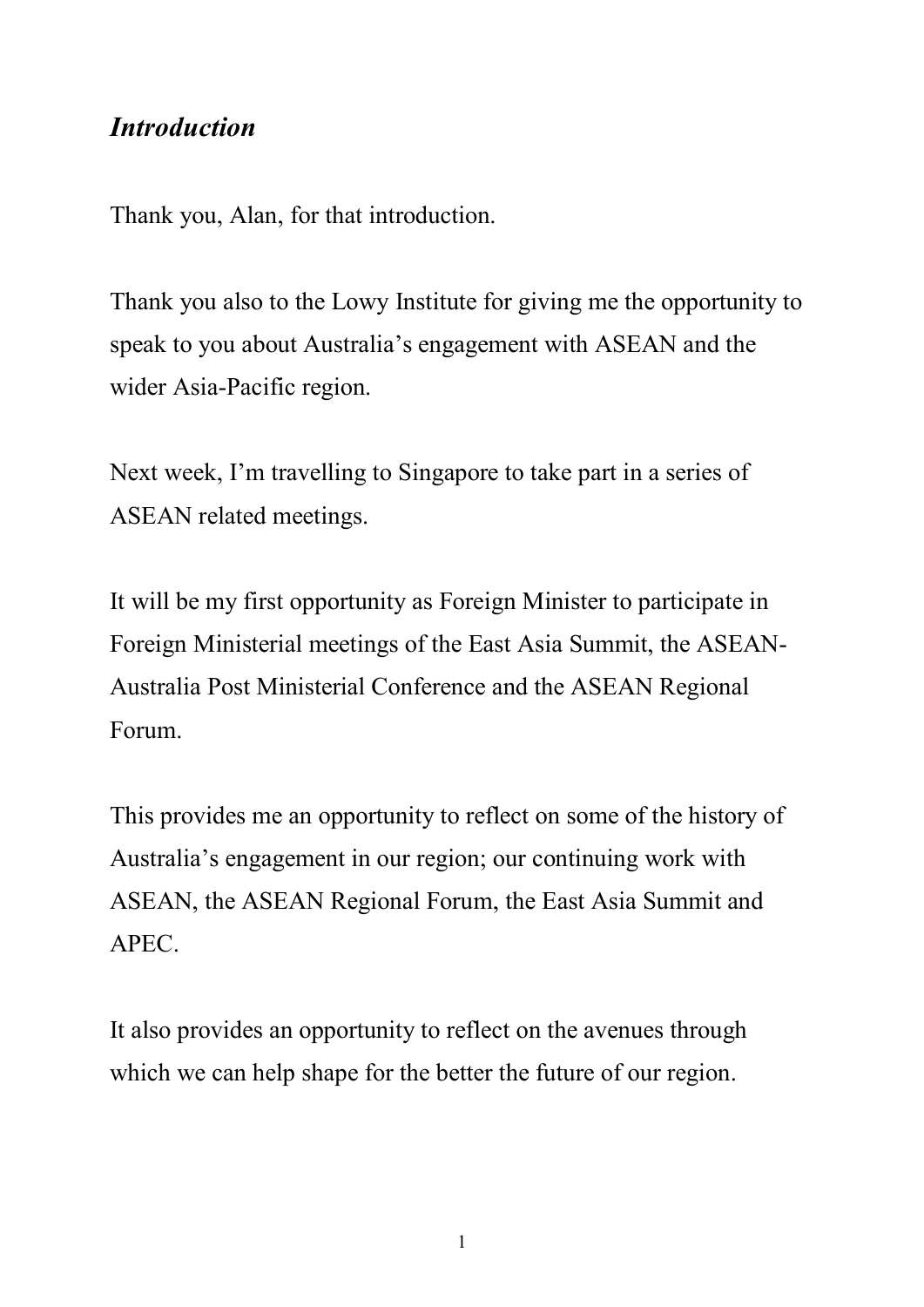### *Introduction*

Thank you, Alan, for that introduction.

Thank you also to the Lowy Institute for giving me the opportunity to speak to you about Australia's engagement with ASEAN and the wider Asia-Pacific region.

Next week, I'm travelling to Singapore to take part in a series of ASEAN related meetings.

It will be my first opportunity as Foreign Minister to participate in Foreign Ministerial meetings of the East Asia Summit, the ASEAN Australia Post Ministerial Conference and the ASEAN Regional Forum.

This provides me an opportunity to reflect on some of the history of Australia's engagement in our region; our continuing work with ASEAN, the ASEAN Regional Forum, the East Asia Summit and APEC.

It also provides an opportunity to reflect on the avenues through which we can help shape for the better the future of our region.

1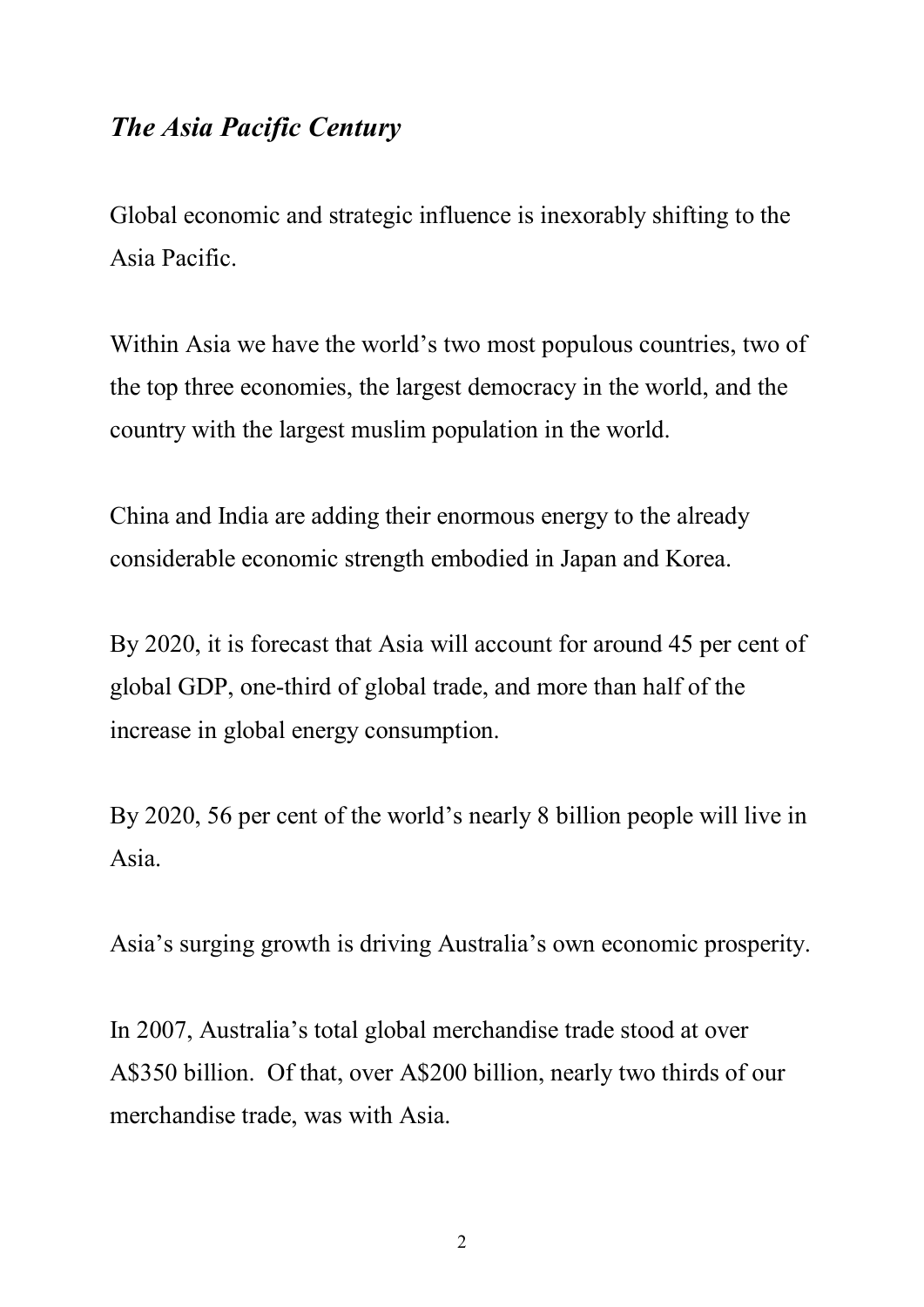## *The Asia Pacific Century*

Global economic and strategic influence is inexorably shifting to the Asia Pacific.

Within Asia we have the world's two most populous countries, two of the top three economies, the largest democracy in the world, and the country with the largest muslim population in the world.

China and India are adding their enormous energy to the already considerable economic strength embodied in Japan and Korea.

By 2020, it is forecast that Asia will account for around 45 per cent of global GDP, one-third of global trade, and more than half of the increase in global energy consumption.

By 2020, 56 per cent of the world's nearly 8 billion people will live in Asia.

Asia's surging growth is driving Australia's own economic prosperity.

In 2007, Australia's total global merchandise trade stood at over A\$350 billion. Of that, over A\$200 billion, nearly two thirds of our merchandise trade, was with Asia.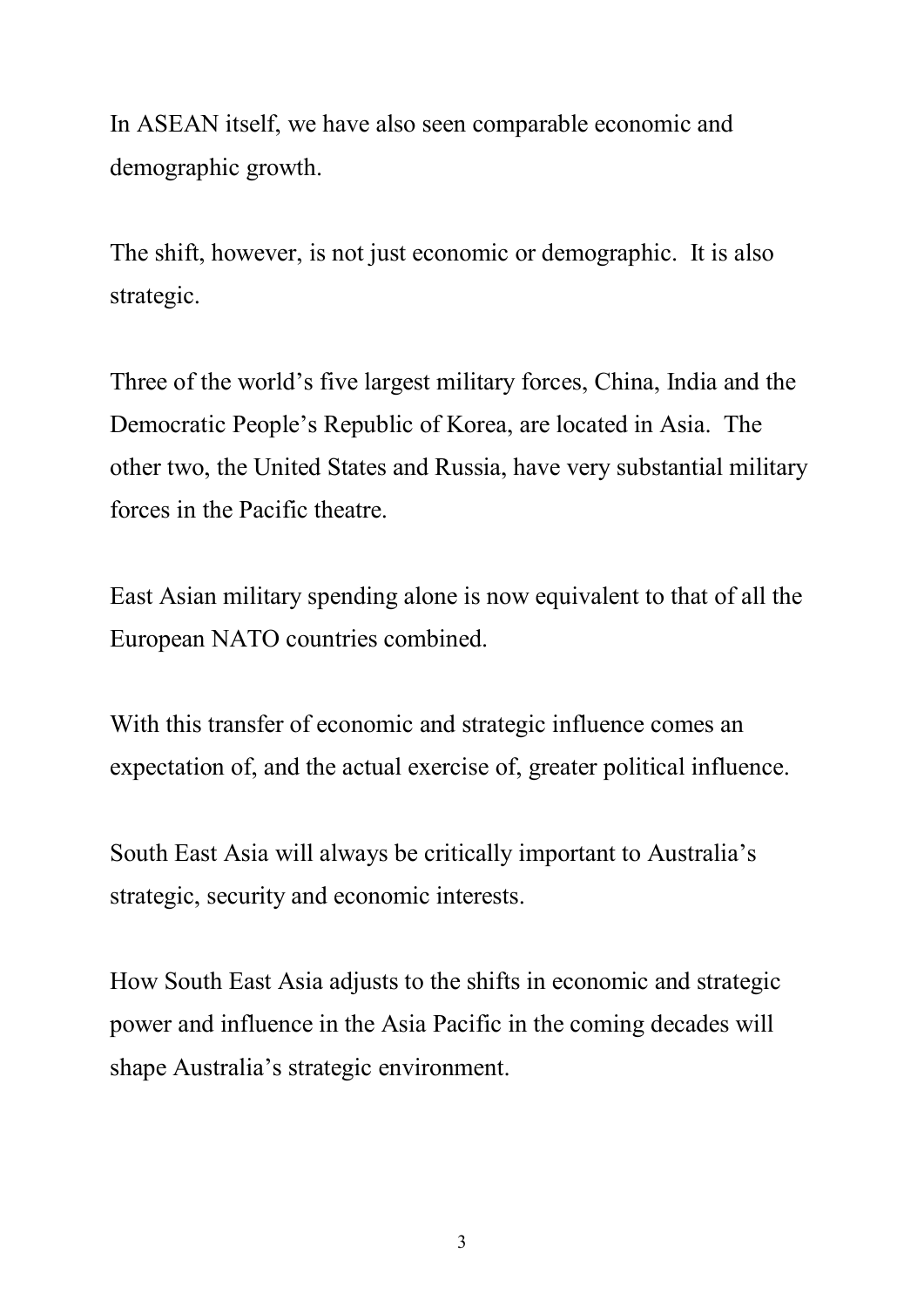In ASEAN itself, we have also seen comparable economic and demographic growth.

The shift, however, is not just economic or demographic. It is also strategic.

Three of the world's five largest military forces, China, India and the Democratic People's Republic of Korea, are located in Asia. The other two, the United States and Russia, have very substantial military forces in the Pacific theatre.

East Asian military spending alone is now equivalent to that of all the European NATO countries combined.

With this transfer of economic and strategic influence comes an expectation of, and the actual exercise of, greater political influence.

South East Asia will always be critically important to Australia's strategic, security and economic interests.

How South East Asia adjusts to the shifts in economic and strategic power and influence in the Asia Pacific in the coming decades will shape Australia's strategic environment.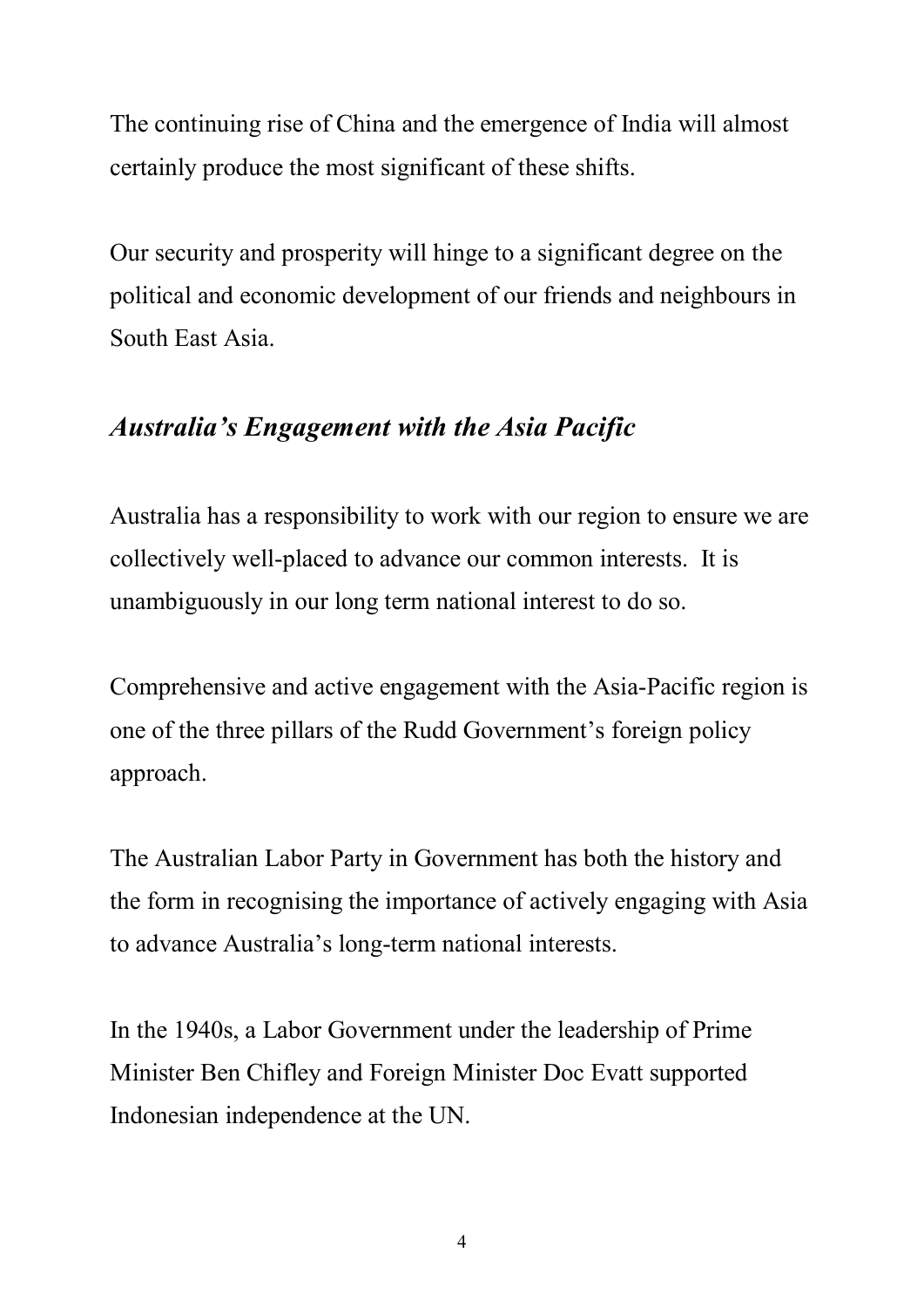The continuing rise of China and the emergence of India will almost certainly produce the most significant of these shifts.

Our security and prosperity will hinge to a significant degree on the political and economic development of our friends and neighbours in South East Asia.

# *Australia's Engagement with the Asia Pacific*

Australia has a responsibility to work with our region to ensure we are collectively well-placed to advance our common interests. It is unambiguously in our long term national interest to do so.

Comprehensive and active engagement with the Asia-Pacific region is one of the three pillars of the Rudd Government's foreign policy approach.

The Australian Labor Party in Government has both the history and the form in recognising the importance of actively engaging with Asia to advance Australia's long-term national interests.

In the 1940s, a Labor Government under the leadership of Prime Minister Ben Chifley and Foreign Minister Doc Evatt supported Indonesian independence at the UN.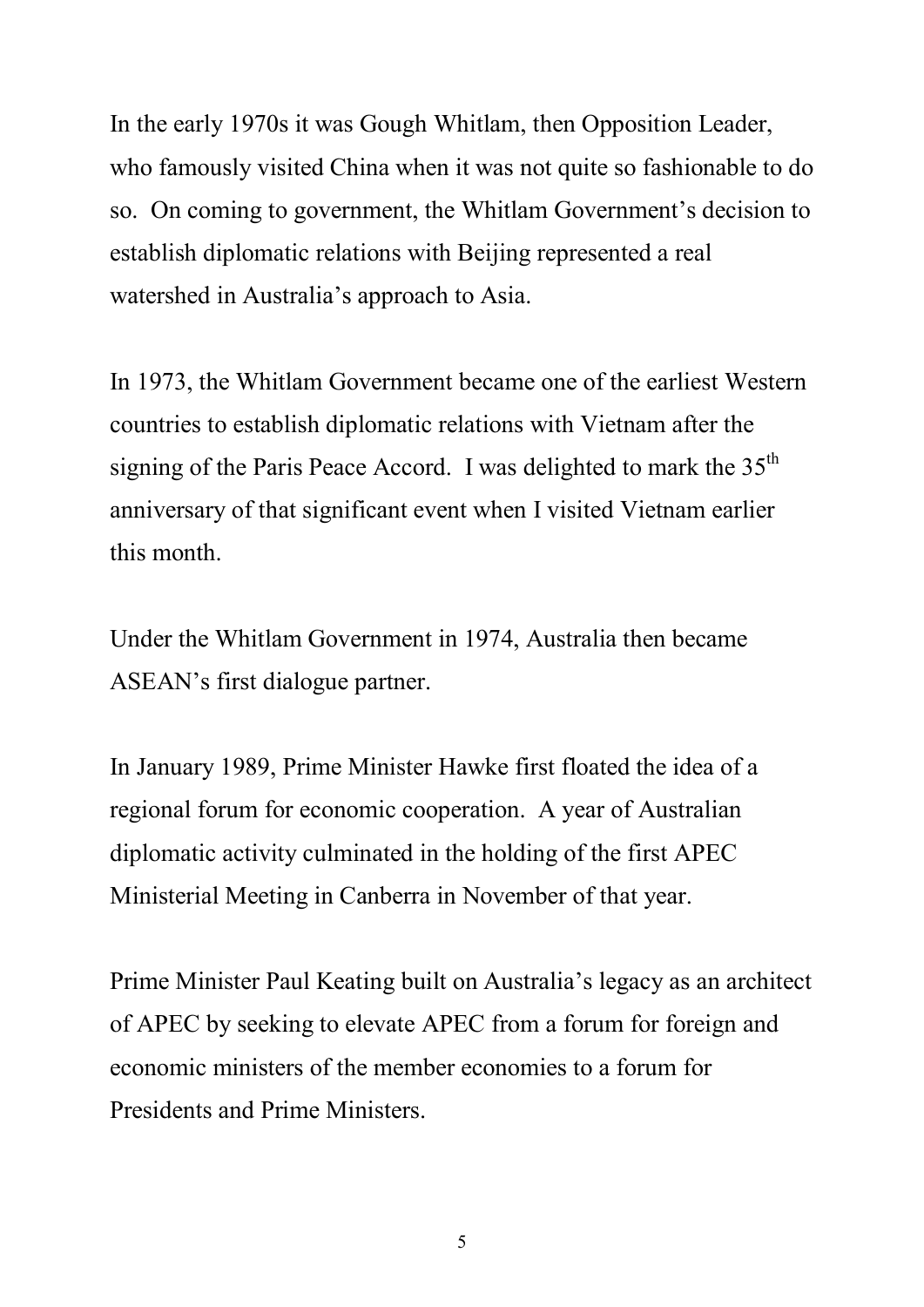In the early 1970s it was Gough Whitlam, then Opposition Leader, who famously visited China when it was not quite so fashionable to do so. On coming to government, the Whitlam Government's decision to establish diplomatic relations with Beijing represented a real watershed in Australia's approach to Asia.

In 1973, the Whitlam Government became one of the earliest Western countries to establish diplomatic relations with Vietnam after the signing of the Paris Peace Accord. I was delighted to mark the  $35<sup>th</sup>$ anniversary of that significant event when I visited Vietnam earlier this month.

Under the Whitlam Government in 1974, Australia then became ASEAN's first dialogue partner.

In January 1989, Prime Minister Hawke first floated the idea of a regional forum for economic cooperation. A year of Australian diplomatic activity culminated in the holding of the first APEC Ministerial Meeting in Canberra in November of that year.

Prime Minister Paul Keating built on Australia's legacy as an architect of APEC by seeking to elevate APEC from a forum for foreign and economic ministers of the member economies to a forum for Presidents and Prime Ministers.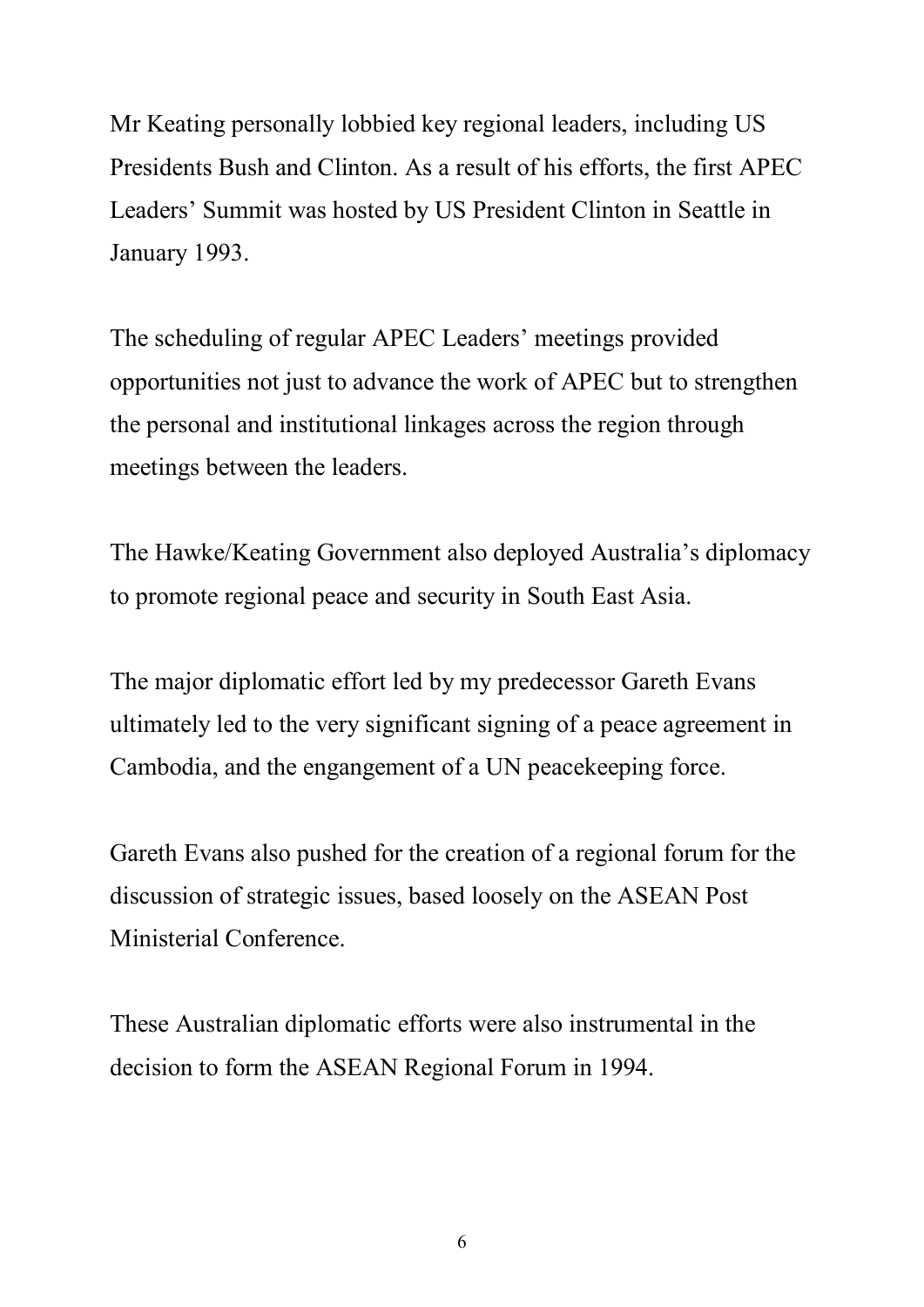Mr Keating personally lobbied key regional leaders, including US Presidents Bush and Clinton. As a result of his efforts, the first APEC Leaders' Summit was hosted by US President Clinton in Seattle in January 1993.

The scheduling of regular APEC Leaders' meetings provided opportunities not just to advance the work of APEC but to strengthen the personal and institutional linkages across the region through meetings between the leaders.

The Hawke/Keating Government also deployed Australia's diplomacy to promote regional peace and security in South East Asia.

The major diplomatic effort led by my predecessor Gareth Evans ultimately led to the very significant signing of a peace agreement in Cambodia, and the engangement of a UN peacekeeping force.

Gareth Evans also pushed for the creation of a regional forum for the discussion of strategic issues, based loosely on the ASEAN Post Ministerial Conference.

These Australian diplomatic efforts were also instrumental in the decision to form the ASEAN Regional Forum in 1994.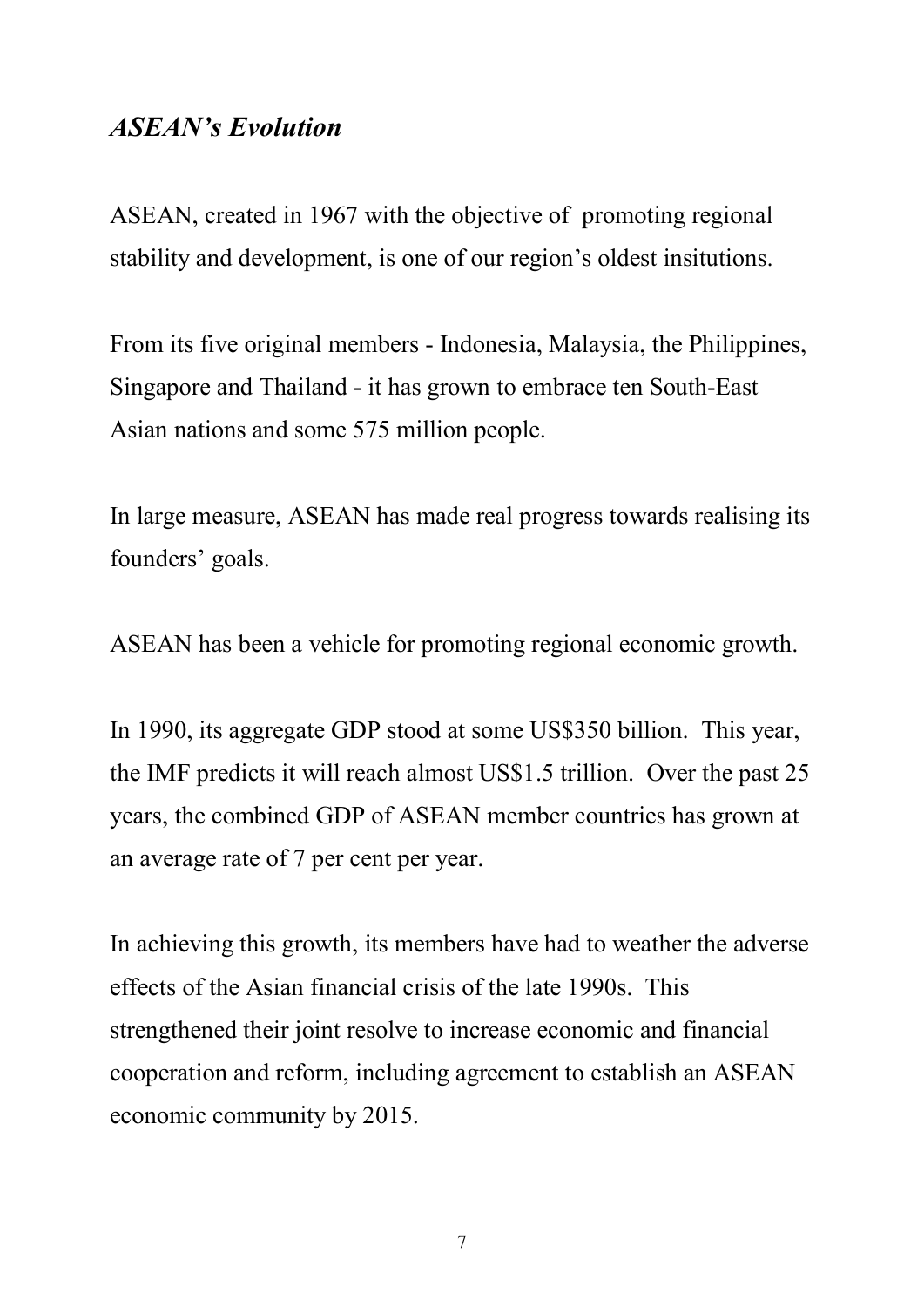#### *ASEAN's Evolution*

ASEAN, created in 1967 with the objective of promoting regional stability and development, is one of our region's oldest insitutions.

From its five original members - Indonesia, Malaysia, the Philippines, Singapore and Thailand - it has grown to embrace ten South-East Asian nations and some 575 million people.

In large measure, ASEAN has made real progress towards realising its founders' goals.

ASEAN has been a vehicle for promoting regional economic growth.

In 1990, its aggregate GDP stood at some US\$350 billion. This year, the IMF predicts it will reach almost US\$1.5 trillion. Over the past 25 years, the combined GDP of ASEAN member countries has grown at an average rate of 7 per cent per year.

In achieving this growth, its members have had to weather the adverse effects of the Asian financial crisis of the late 1990s. This strengthened their joint resolve to increase economic and financial cooperation and reform, including agreement to establish an ASEAN economic community by 2015.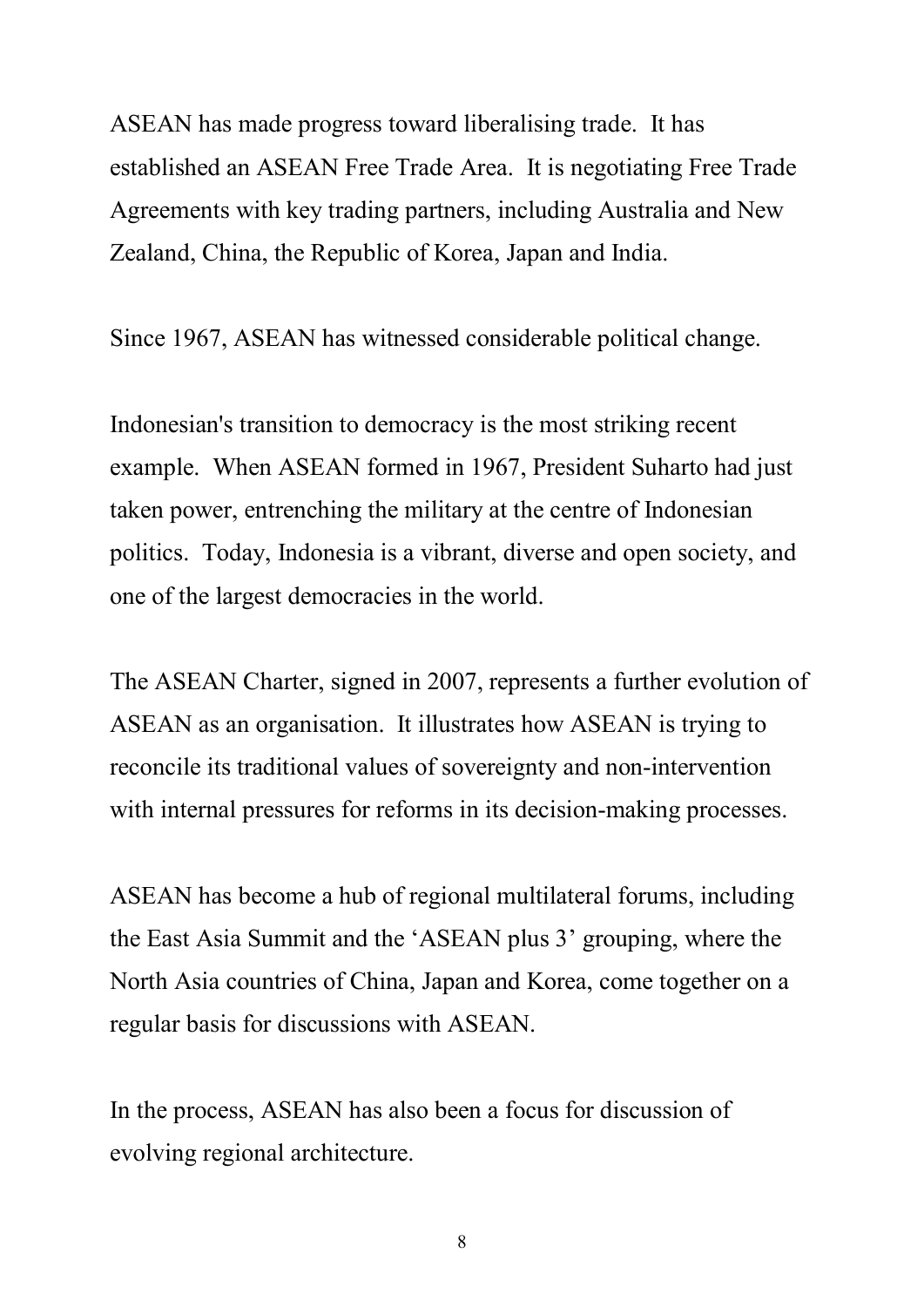ASEAN has made progress toward liberalising trade. It has established an ASEAN Free Trade Area. It is negotiating Free Trade Agreements with key trading partners, including Australia and New Zealand, China, the Republic of Korea, Japan and India.

Since 1967, ASEAN has witnessed considerable political change.

Indonesian's transition to democracy is the most striking recent example. When ASEAN formed in 1967, President Suharto had just taken power, entrenching the military at the centre of Indonesian politics. Today, Indonesia is a vibrant, diverse and open society, and one of the largest democracies in the world.

The ASEAN Charter, signed in 2007, represents a further evolution of ASEAN as an organisation. It illustrates how ASEAN is trying to reconcile its traditional values of sovereignty and non-intervention with internal pressures for reforms in its decision-making processes.

ASEAN has become a hub of regional multilateral forums, including the East Asia Summit and the 'ASEAN plus 3' grouping, where the North Asia countries of China, Japan and Korea, come together on a regular basis for discussions with ASEAN.

In the process, ASEAN has also been a focus for discussion of evolving regional architecture.

8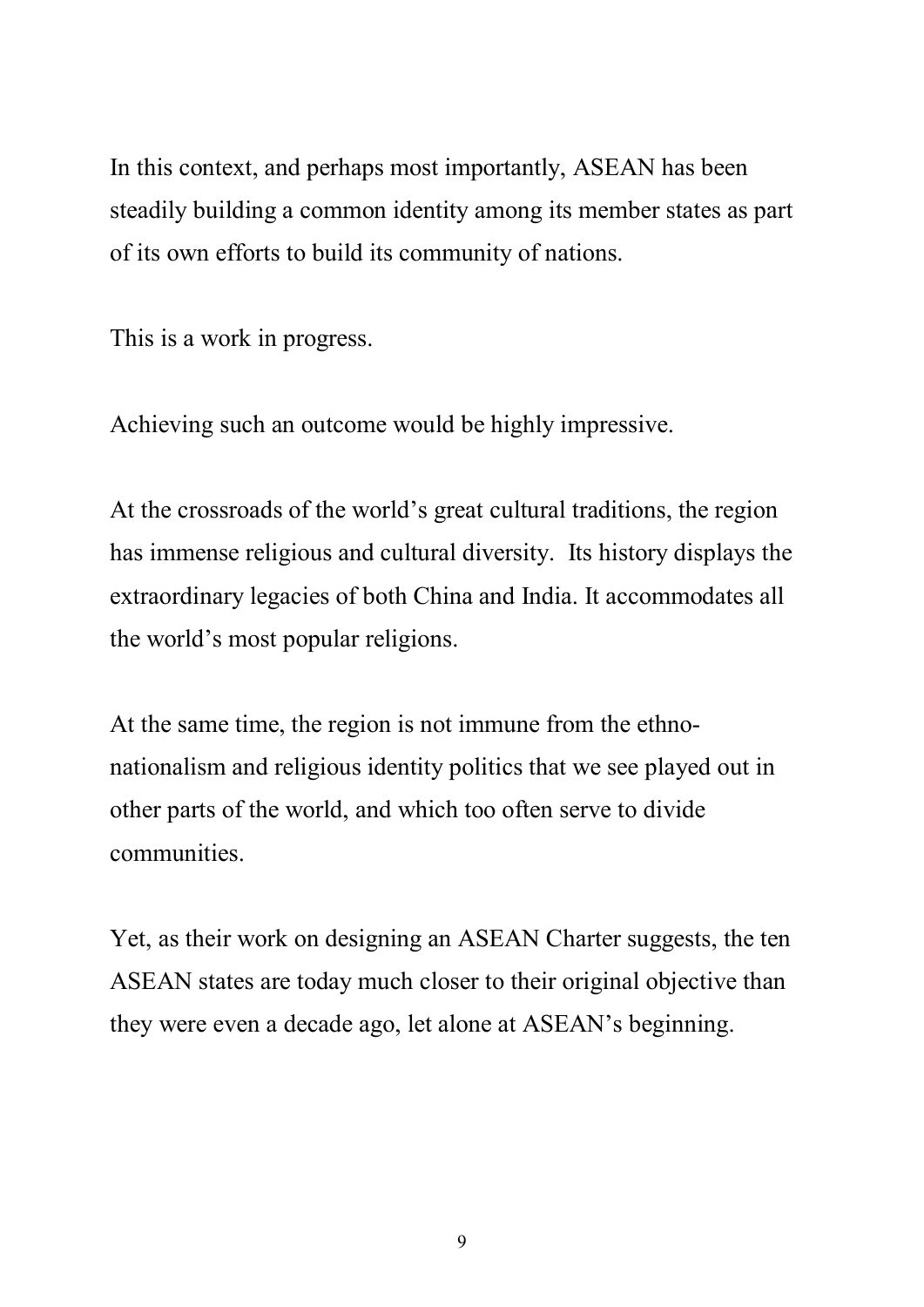In this context, and perhaps most importantly, ASEAN has been steadily building a common identity among its member states as part of its own efforts to build its community of nations.

This is a work in progress.

Achieving such an outcome would be highly impressive.

At the crossroads of the world's great cultural traditions, the region has immense religious and cultural diversity. Its history displays the extraordinary legacies of both China and India. It accommodates all the world's most popular religions.

At the same time, the region is not immune from the ethnonationalism and religious identity politics that we see played out in other parts of the world, and which too often serve to divide communities.

Yet, as their work on designing an ASEAN Charter suggests, the ten ASEAN states are today much closer to their original objective than they were even a decade ago, let alone at ASEAN's beginning.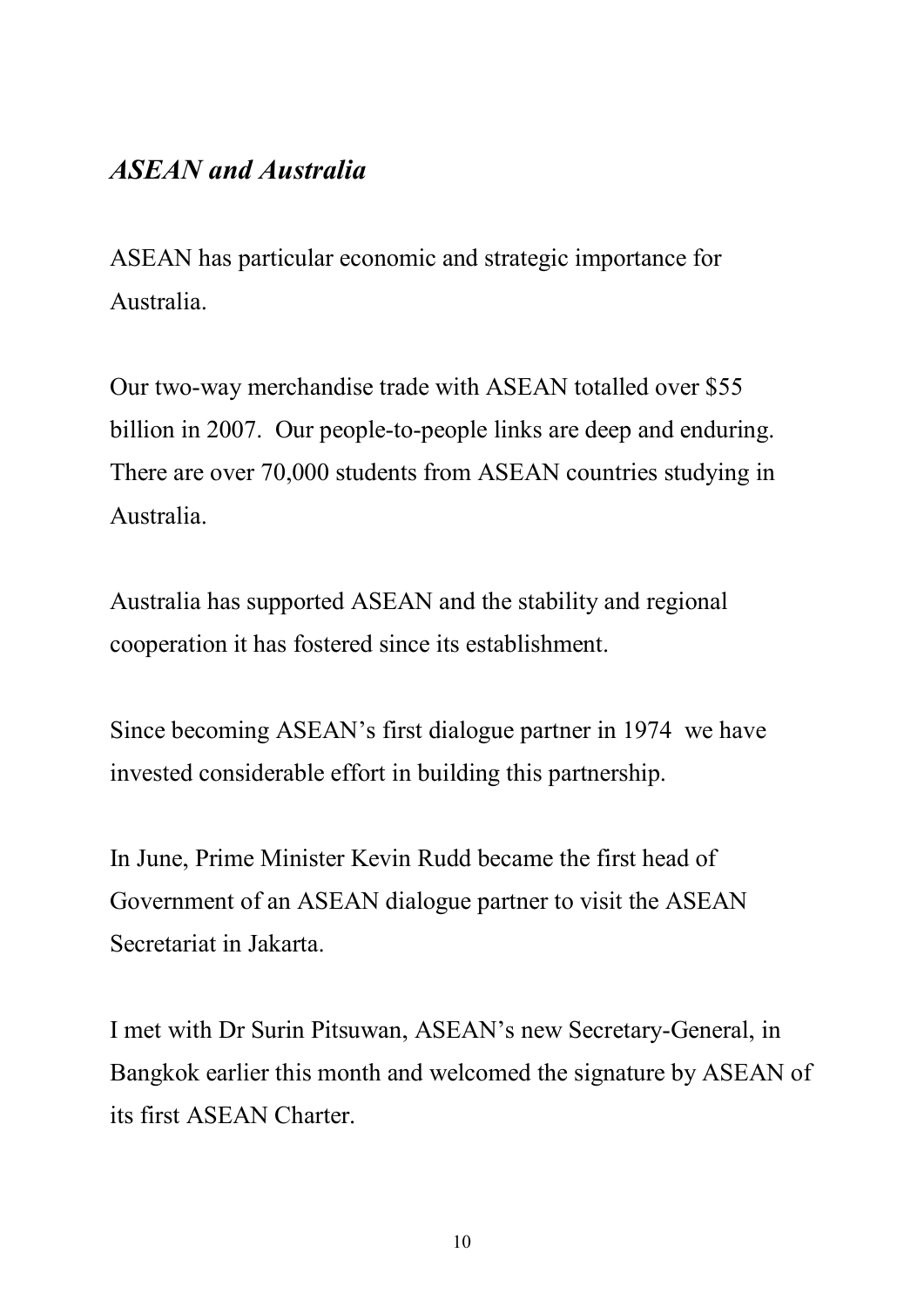#### *ASEAN and Australia*

ASEAN has particular economic and strategic importance for Australia.

Our two-way merchandise trade with ASEAN totalled over \$55 billion in 2007. Our people-to-people links are deep and enduring. There are over 70,000 students from ASEAN countries studying in Australia.

Australia has supported ASEAN and the stability and regional cooperation it has fostered since its establishment.

Since becoming ASEAN's first dialogue partner in 1974 we have invested considerable effort in building this partnership.

In June, Prime Minister Kevin Rudd became the first head of Government of an ASEAN dialogue partner to visit the ASEAN Secretariat in Jakarta.

I met with Dr Surin Pitsuwan, ASEAN's new Secretary-General, in Bangkok earlier this month and welcomed the signature by ASEAN of its first ASEAN Charter.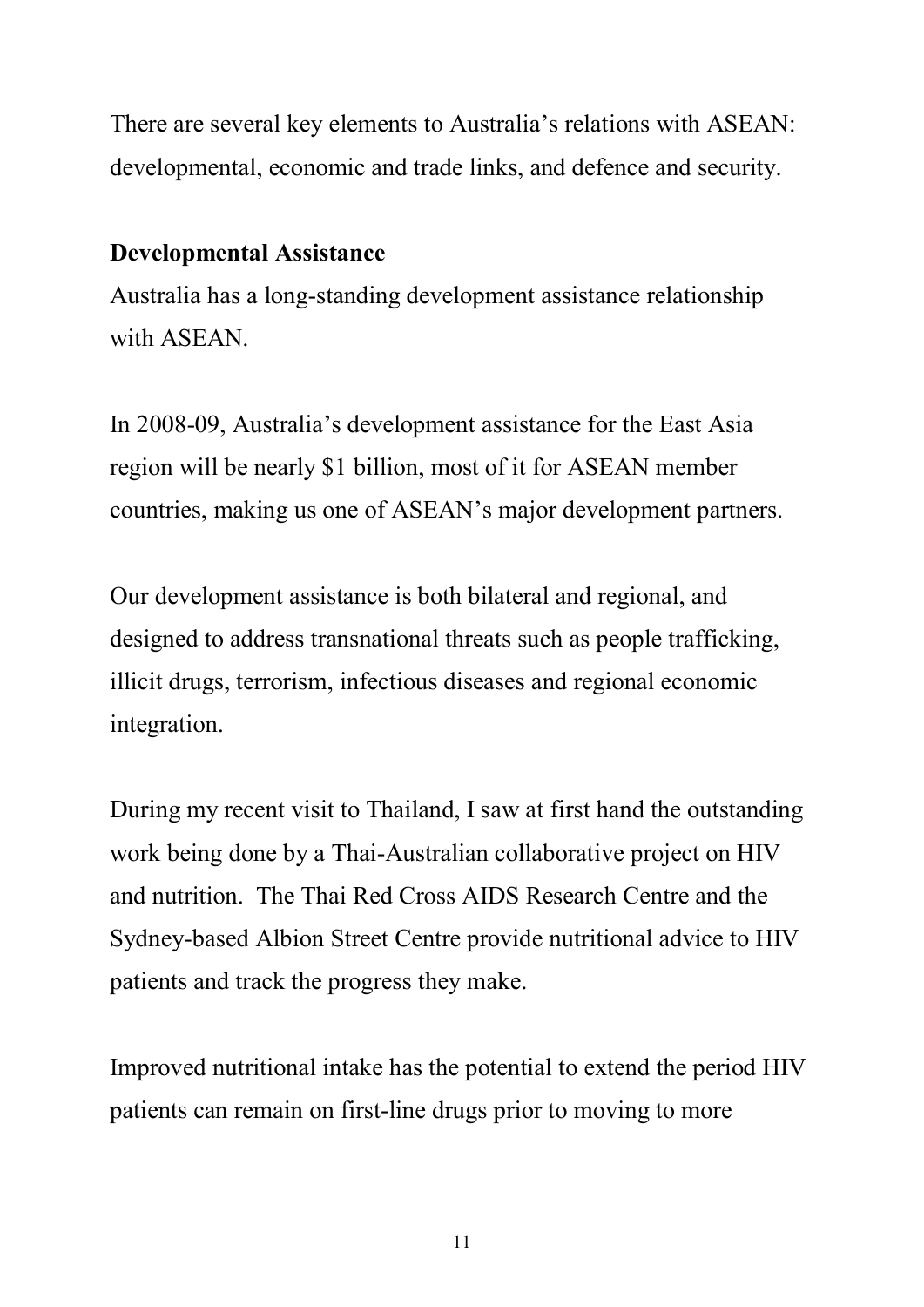There are several key elements to Australia's relations with ASEAN: developmental, economic and trade links, and defence and security.

#### **Developmental Assistance**

Australia has a long-standing development assistance relationship with ASEAN

In 2008-09, Australia's development assistance for the East Asia region will be nearly \$1 billion, most of it for ASEAN member countries, making us one of ASEAN's major development partners.

Our development assistance is both bilateral and regional, and designed to address transnational threats such as people trafficking, illicit drugs, terrorism, infectious diseases and regional economic integration.

During my recent visit to Thailand, I saw at first hand the outstanding work being done by a Thai-Australian collaborative project on HIV and nutrition. The Thai Red Cross AIDS Research Centre and the Sydney-based Albion Street Centre provide nutritional advice to HIV patients and track the progress they make.

Improved nutritional intake has the potential to extend the period HIV patients can remain on first-line drugs prior to moving to more

11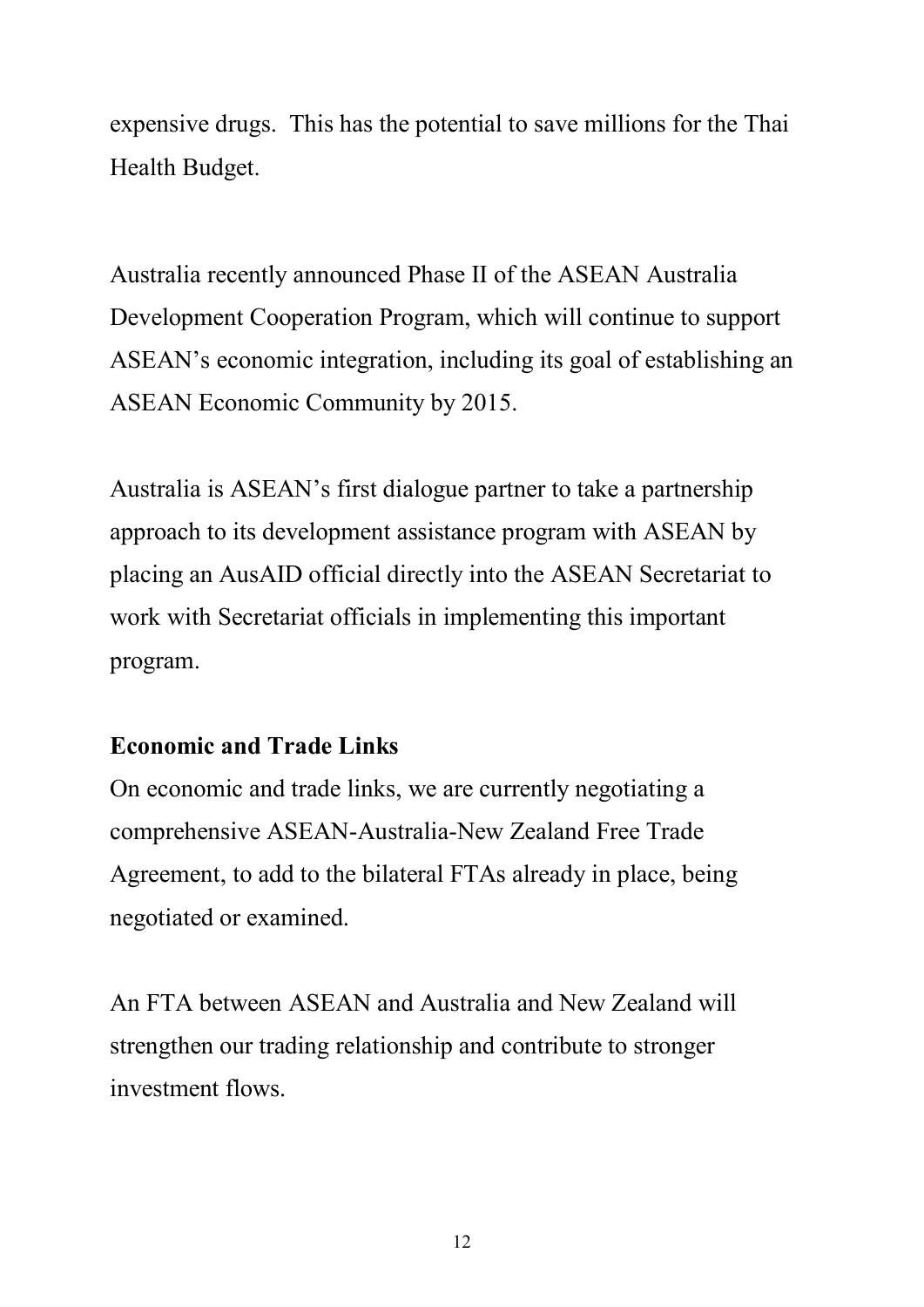expensive drugs. This has the potential to save millions for the Thai Health Budget.

Australia recently announced Phase II of the ASEAN Australia Development Cooperation Program, which will continue to support ASEAN's economic integration, including its goal of establishing an ASEAN Economic Community by 2015.

Australia is ASEAN's first dialogue partner to take a partnership approach to its development assistance program with ASEAN by placing an AusAID official directly into the ASEAN Secretariat to work with Secretariat officials in implementing this important program.

### **Economic and Trade Links**

On economic and trade links, we are currently negotiating a comprehensive ASEAN-Australia-New Zealand Free Trade Agreement, to add to the bilateral FTAs already in place, being negotiated or examined.

An FTA between ASEAN and Australia and New Zealand will strengthen our trading relationship and contribute to stronger investment flows.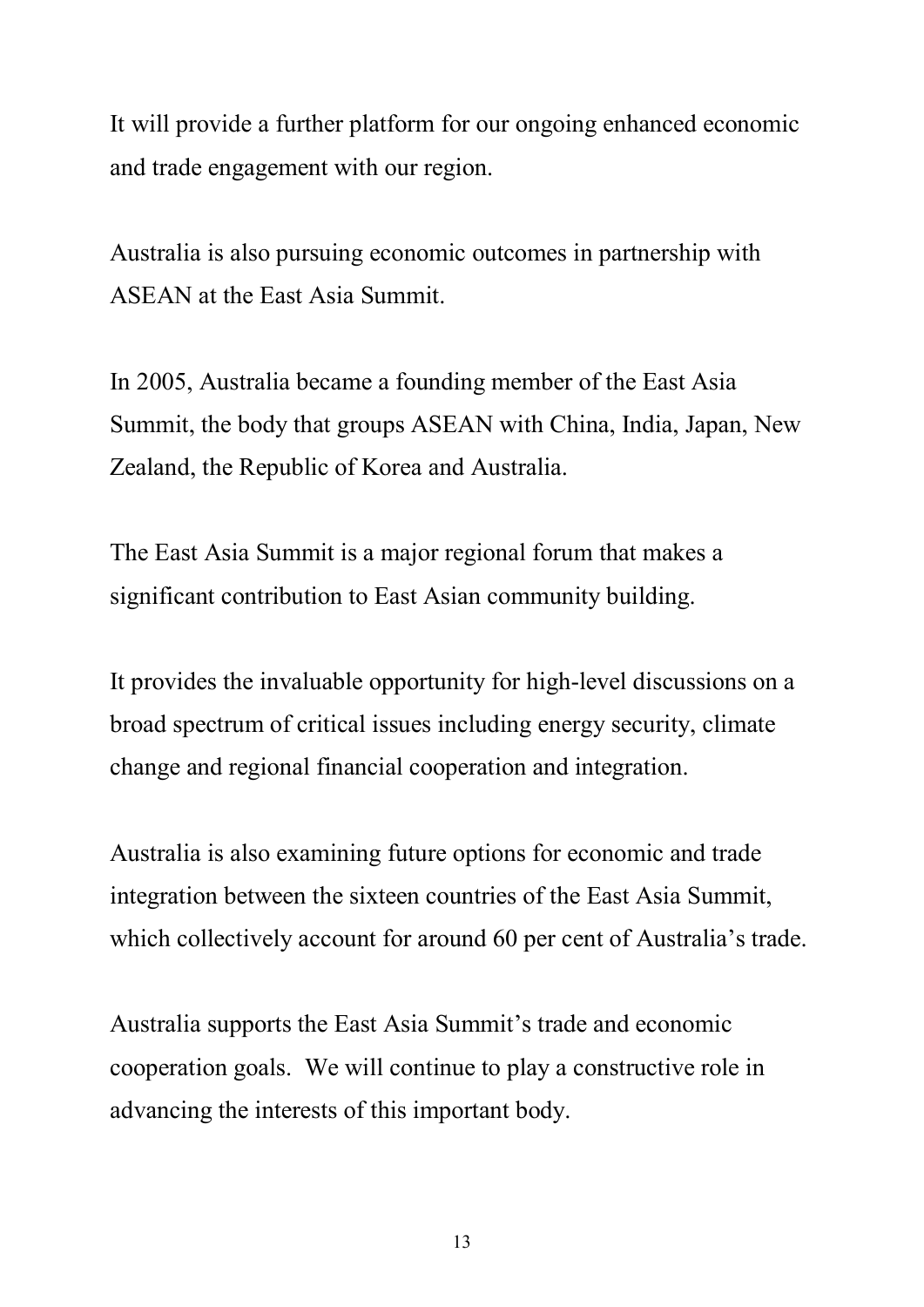It will provide a further platform for our ongoing enhanced economic and trade engagement with our region.

Australia is also pursuing economic outcomes in partnership with ASEAN at the East Asia Summit.

In 2005, Australia became a founding member of the East Asia Summit, the body that groups ASEAN with China, India, Japan, New Zealand, the Republic of Korea and Australia.

The East Asia Summit is a major regional forum that makes a significant contribution to East Asian community building.

It provides the invaluable opportunity for high-level discussions on a broad spectrum of critical issues including energy security, climate change and regional financial cooperation and integration.

Australia is also examining future options for economic and trade integration between the sixteen countries of the East Asia Summit, which collectively account for around 60 per cent of Australia's trade.

Australia supports the East Asia Summit's trade and economic cooperation goals. We will continue to play a constructive role in advancing the interests of this important body.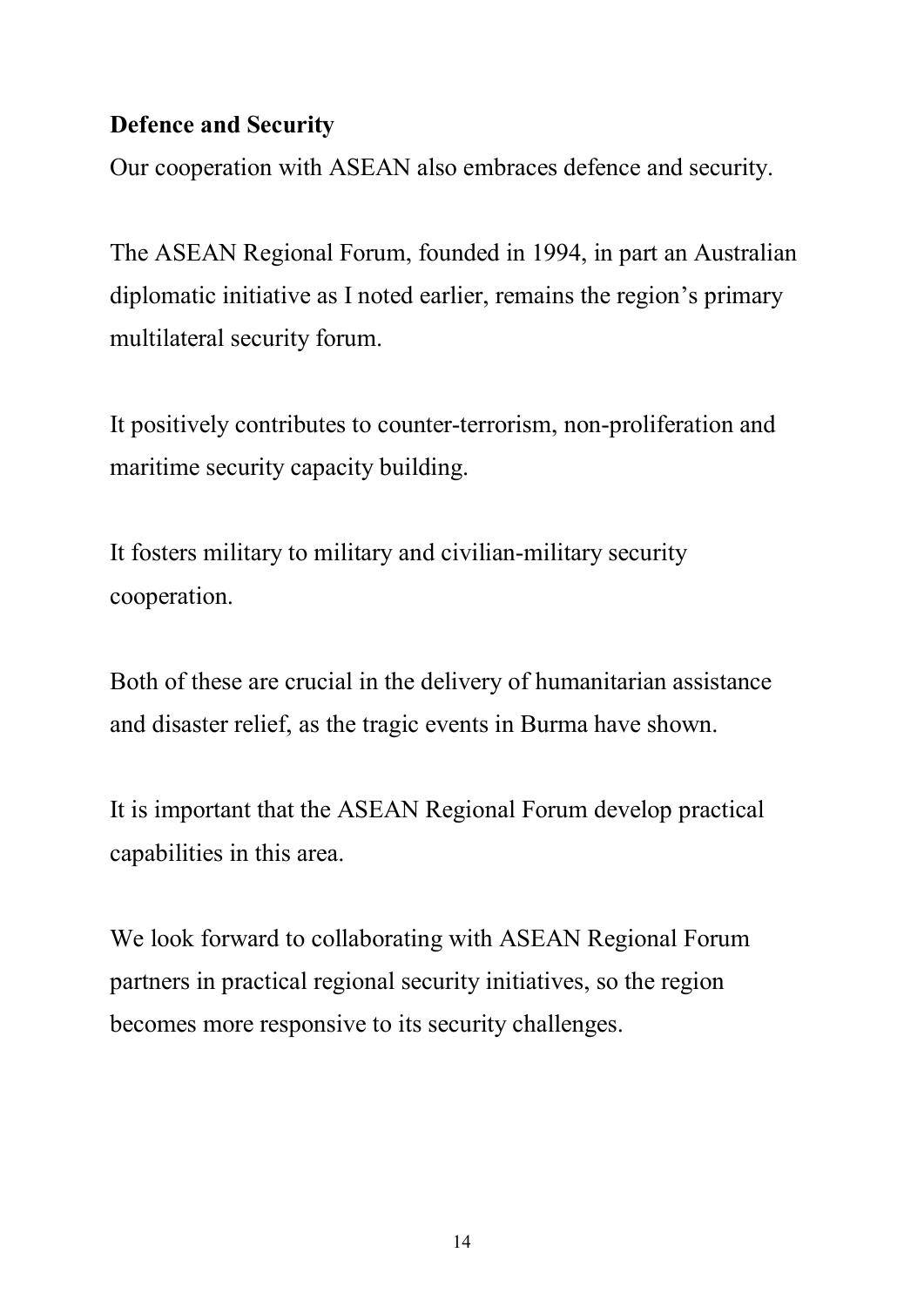#### **Defence and Security**

Our cooperation with ASEAN also embraces defence and security.

The ASEAN Regional Forum, founded in 1994, in part an Australian diplomatic initiative as I noted earlier, remains the region's primary multilateral security forum.

It positively contributes to counter-terrorism, non-proliferation and maritime security capacity building.

It fosters military to military and civilian-military security cooperation.

Both of these are crucial in the delivery of humanitarian assistance and disaster relief, as the tragic events in Burma have shown.

It is important that the ASEAN Regional Forum develop practical capabilities in this area.

We look forward to collaborating with ASEAN Regional Forum partners in practical regional security initiatives, so the region becomes more responsive to its security challenges.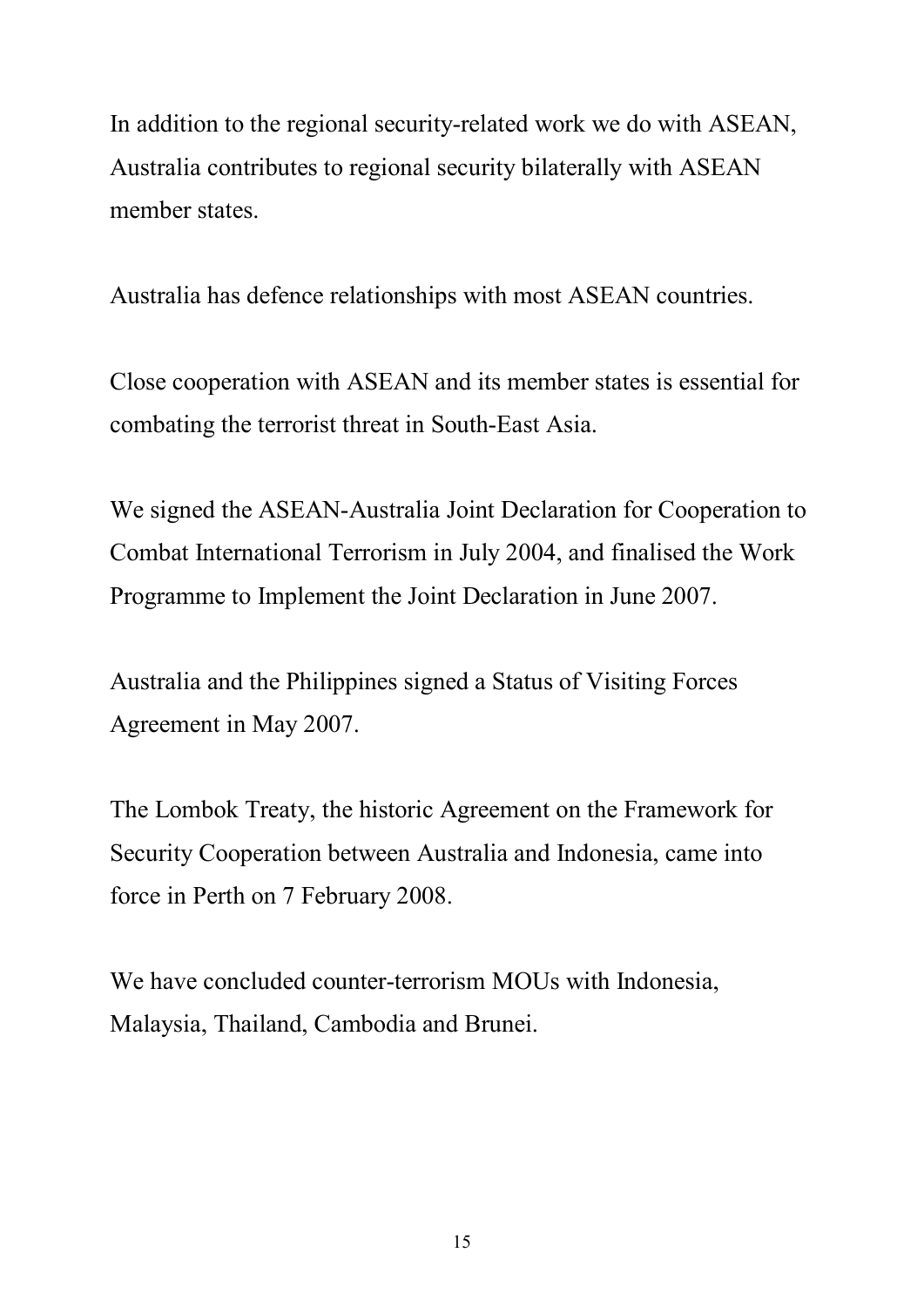In addition to the regional security-related work we do with ASEAN, Australia contributes to regional security bilaterally with ASEAN member states.

Australia has defence relationships with most ASEAN countries.

Close cooperation with ASEAN and its member states is essential for combating the terrorist threat in South-East Asia.

We signed the ASEAN-Australia Joint Declaration for Cooperation to Combat International Terrorism in July 2004, and finalised the Work Programme to Implement the Joint Declaration in June 2007.

Australia and the Philippines signed a Status of Visiting Forces Agreement in May 2007.

The Lombok Treaty, the historic Agreement on the Framework for Security Cooperation between Australia and Indonesia, came into force in Perth on 7 February 2008.

We have concluded counter-terrorism MOUs with Indonesia, Malaysia, Thailand, Cambodia and Brunei.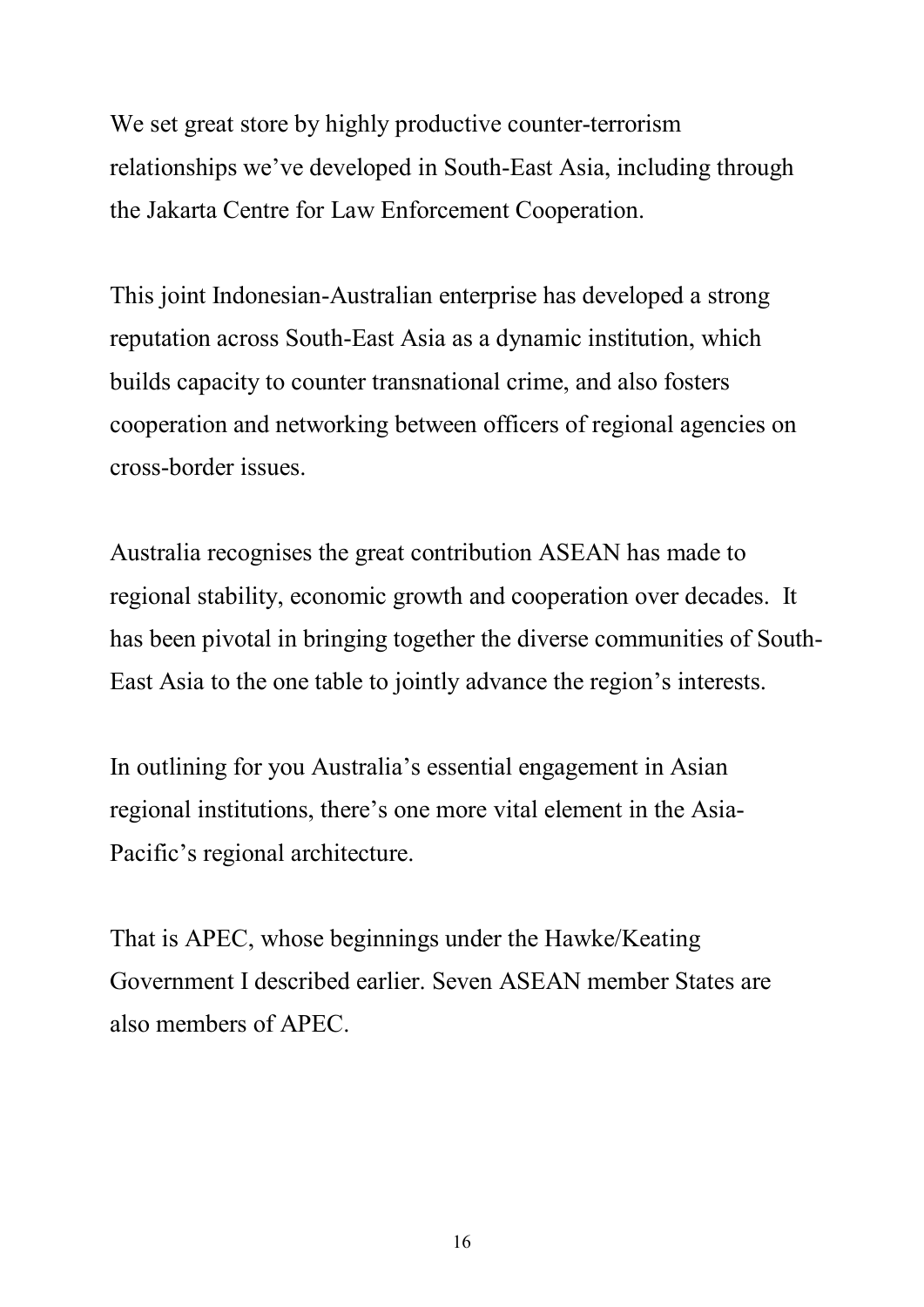We set great store by highly productive counter-terrorism relationships we've developed in South-East Asia, including through the Jakarta Centre for Law Enforcement Cooperation.

This joint Indonesian-Australian enterprise has developed a strong reputation across South-East Asia as a dynamic institution, which builds capacity to counter transnational crime, and also fosters cooperation and networking between officers of regional agencies on cross-border issues.

Australia recognises the great contribution ASEAN has made to regional stability, economic growth and cooperation over decades. It has been pivotal in bringing together the diverse communities of South East Asia to the one table to jointly advance the region's interests.

In outlining for you Australia's essential engagement in Asian regional institutions, there's one more vital element in the Asia Pacific's regional architecture.

That is APEC, whose beginnings under the Hawke/Keating Government I described earlier. Seven ASEAN member States are also members of APEC.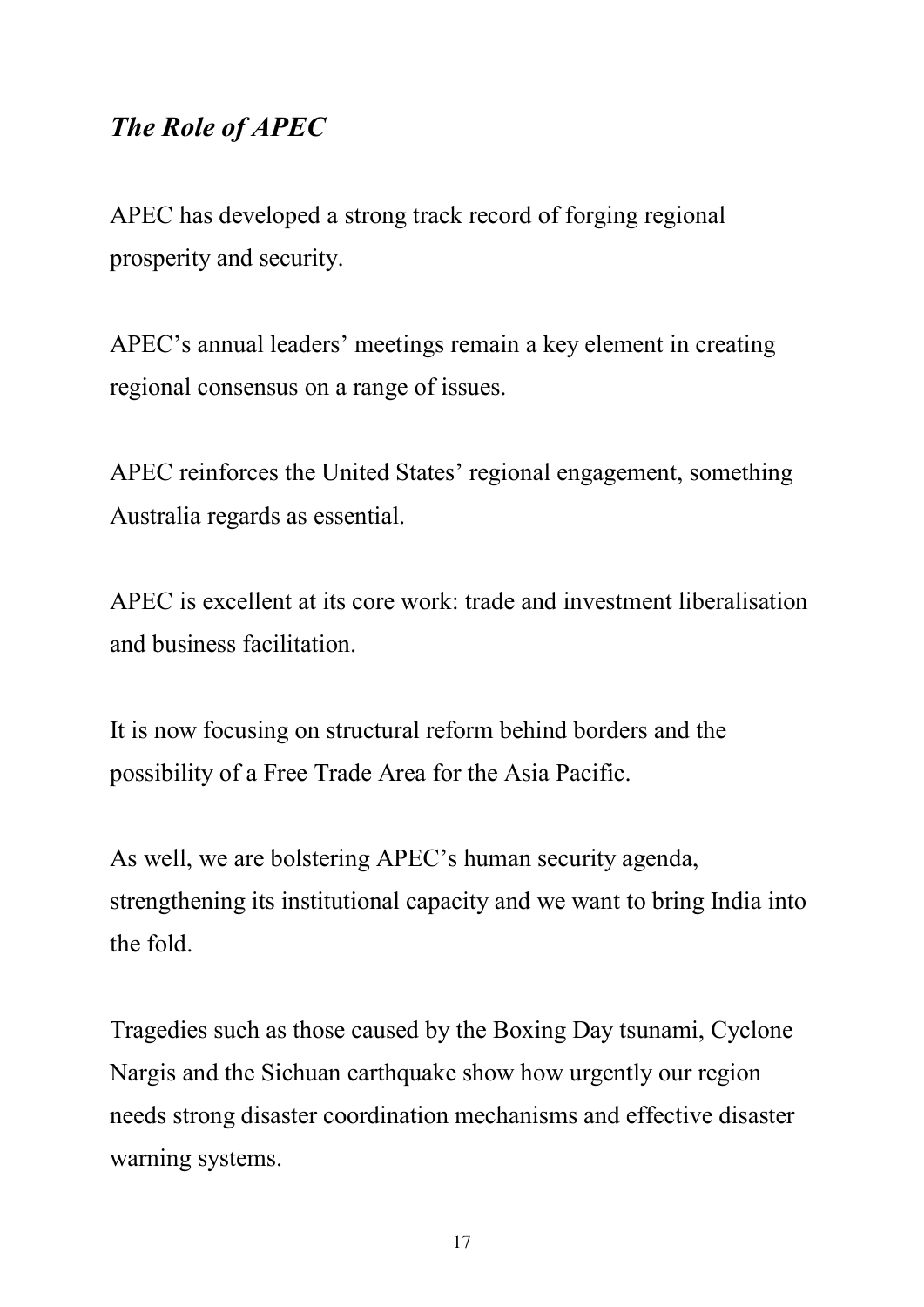### *The Role of APEC*

APEC has developed a strong track record of forging regional prosperity and security.

APEC's annual leaders' meetings remain a key element in creating regional consensus on a range of issues.

APEC reinforces the United States' regional engagement, something Australia regards as essential.

APEC is excellent at its core work: trade and investment liberalisation and business facilitation.

It is now focusing on structural reform behind borders and the possibility of a Free Trade Area for the Asia Pacific.

As well, we are bolstering APEC's human security agenda, strengthening its institutional capacity and we want to bring India into the fold.

Tragedies such as those caused by the Boxing Day tsunami, Cyclone Nargis and the Sichuan earthquake show how urgently our region needs strong disaster coordination mechanisms and effective disaster warning systems.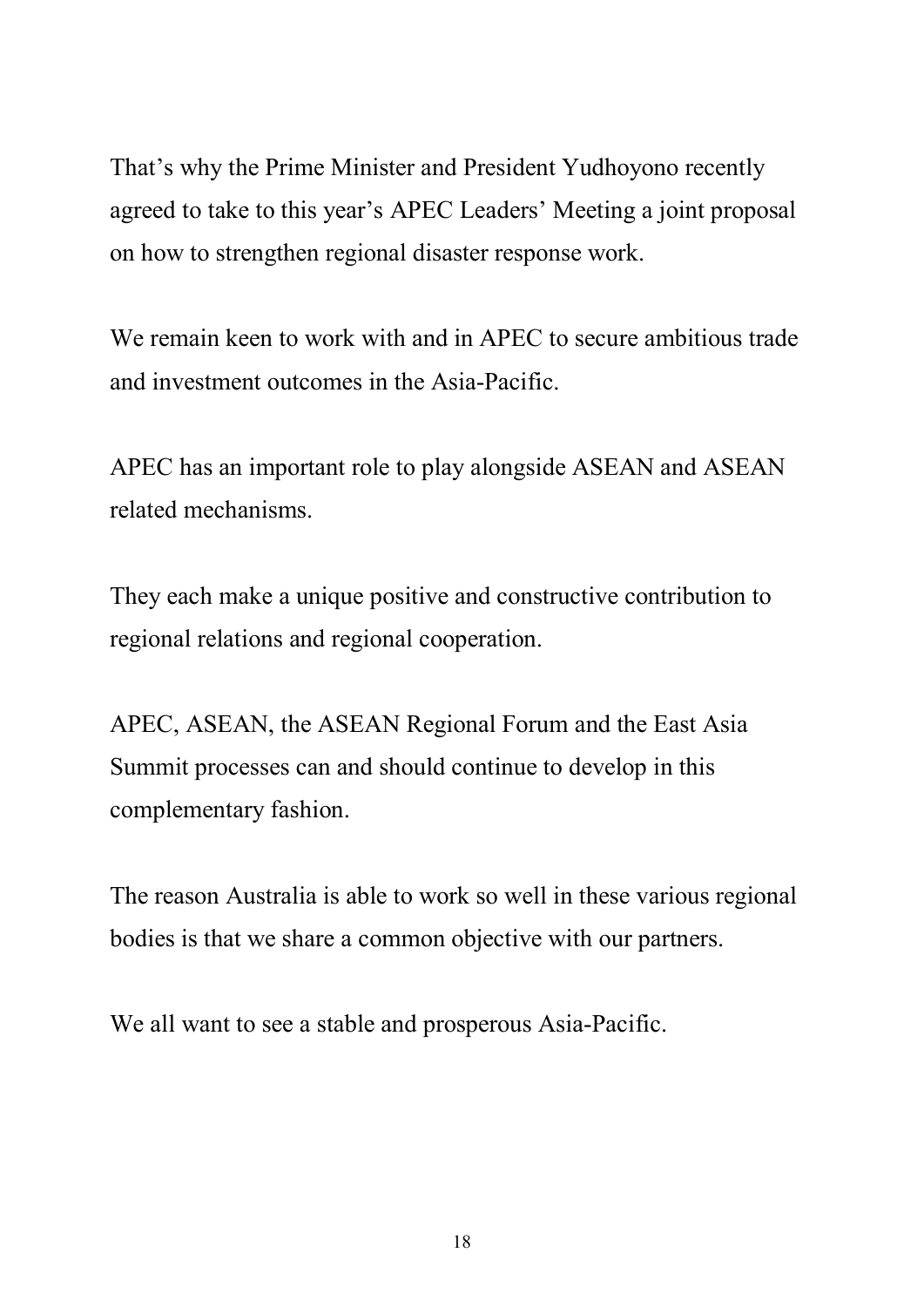That's why the Prime Minister and President Yudhoyono recently agreed to take to this year's APEC Leaders' Meeting a joint proposal on how to strengthen regional disaster response work.

We remain keen to work with and in APEC to secure ambitious trade and investment outcomes in the Asia-Pacific.

APEC has an important role to play alongside ASEAN and ASEAN related mechanisms.

They each make a unique positive and constructive contribution to regional relations and regional cooperation.

APEC, ASEAN, the ASEAN Regional Forum and the East Asia Summit processes can and should continue to develop in this complementary fashion.

The reason Australia is able to work so well in these various regional bodies is that we share a common objective with our partners.

We all want to see a stable and prosperous Asia-Pacific.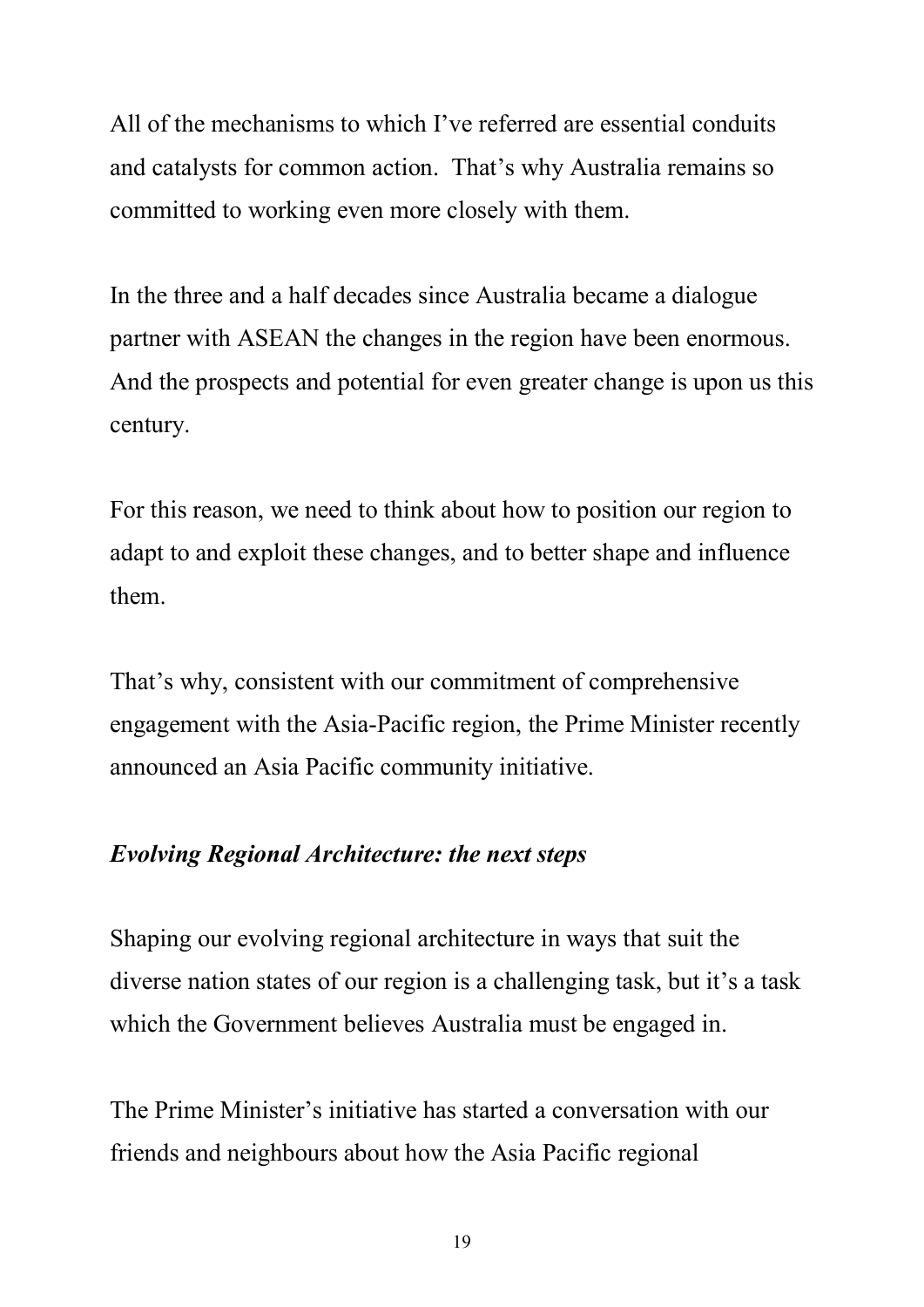All of the mechanisms to which I've referred are essential conduits and catalysts for common action. That's why Australia remains so committed to working even more closely with them.

In the three and a half decades since Australia became a dialogue partner with ASEAN the changes in the region have been enormous. And the prospects and potential for even greater change is upon us this century.

For this reason, we need to think about how to position our region to adapt to and exploit these changes, and to better shape and influence them.

That's why, consistent with our commitment of comprehensive engagement with the Asia-Pacific region, the Prime Minister recently announced an Asia Pacific community initiative.

#### *Evolving Regional Architecture: the next steps*

Shaping our evolving regional architecture in ways that suit the diverse nation states of our region is a challenging task, but it's a task which the Government believes Australia must be engaged in.

The Prime Minister's initiative has started a conversation with our friends and neighbours about how the Asia Pacific regional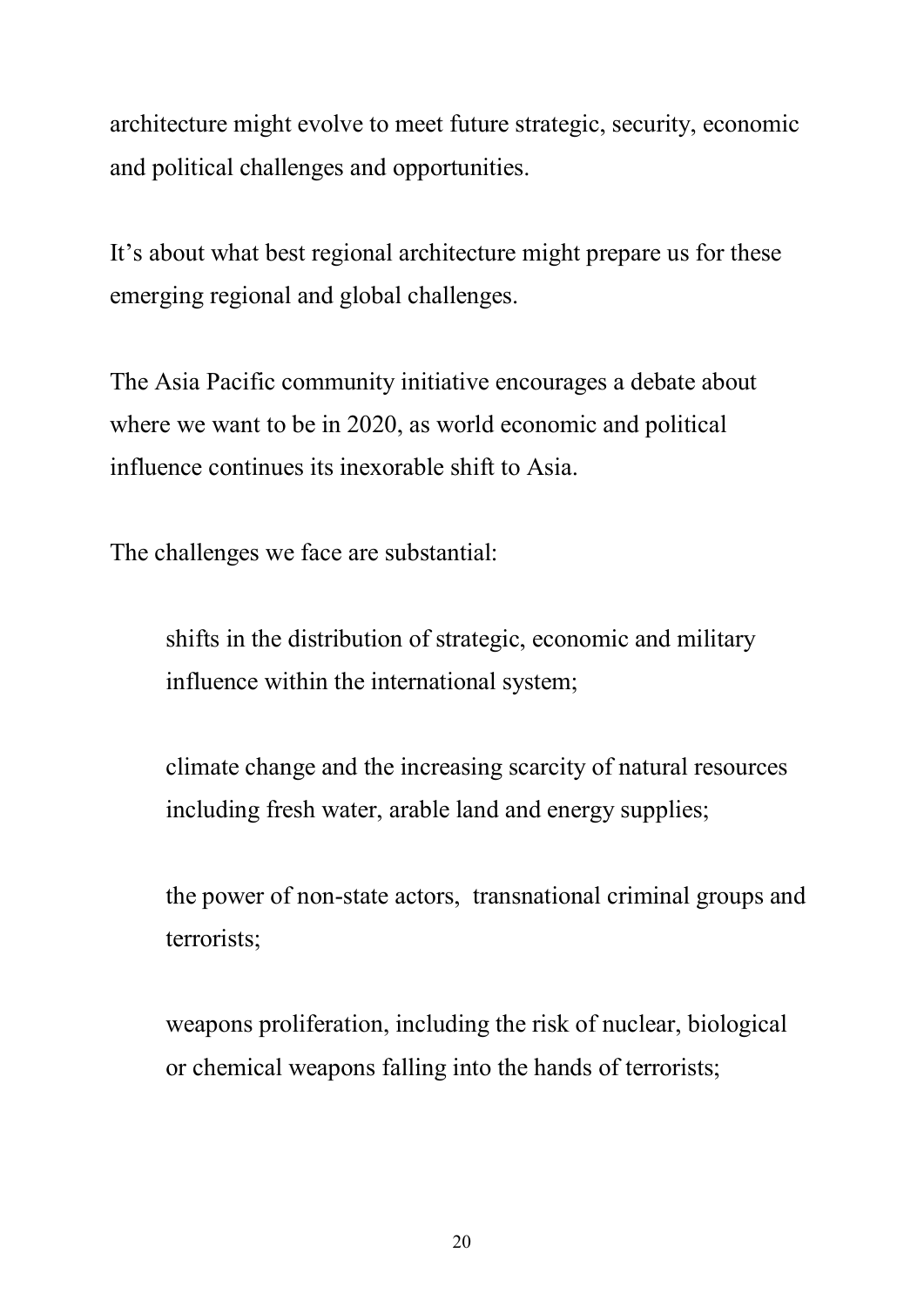architecture might evolve to meet future strategic, security, economic and political challenges and opportunities.

It's about what best regional architecture might prepare us for these emerging regional and global challenges.

The Asia Pacific community initiative encourages a debate about where we want to be in 2020, as world economic and political influence continues its inexorable shift to Asia.

The challenges we face are substantial:

shifts in the distribution of strategic, economic and military influence within the international system;

climate change and the increasing scarcity of natural resources including fresh water, arable land and energy supplies;

the power of non-state actors, transnational criminal groups and terrorists;

weapons proliferation, including the risk of nuclear, biological or chemical weapons falling into the hands of terrorists;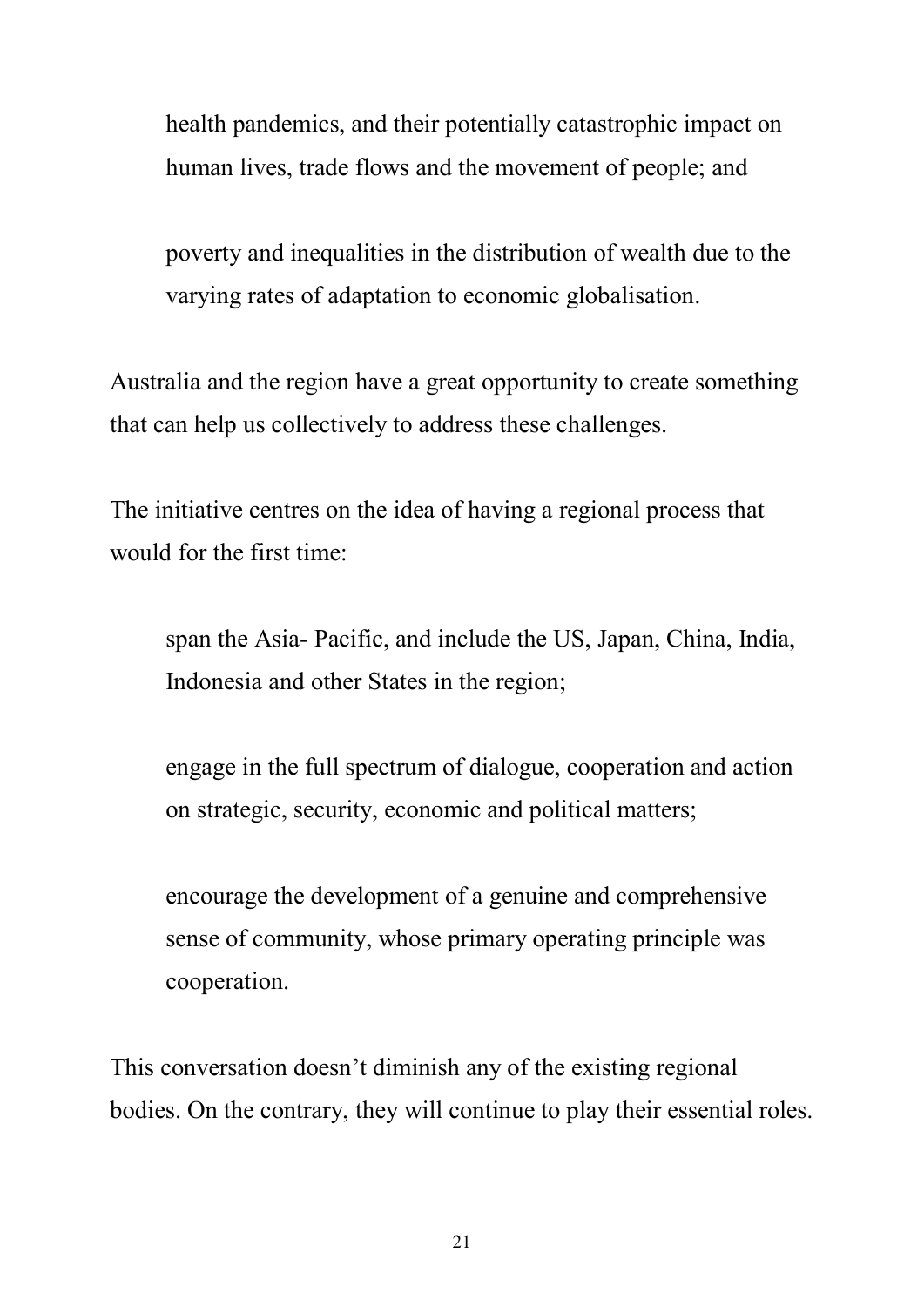health pandemics, and their potentially catastrophic impact on human lives, trade flows and the movement of people; and

poverty and inequalities in the distribution of wealth due to the varying rates of adaptation to economic globalisation.

Australia and the region have a great opportunity to create something that can help us collectively to address these challenges.

The initiative centres on the idea of having a regional process that would for the first time:

span the Asia- Pacific, and include the US, Japan, China, India, Indonesia and other States in the region;

engage in the full spectrum of dialogue, cooperation and action on strategic, security, economic and political matters;

encourage the development of a genuine and comprehensive sense of community, whose primary operating principle was cooperation.

This conversation doesn't diminish any of the existing regional bodies. On the contrary, they will continue to play their essential roles.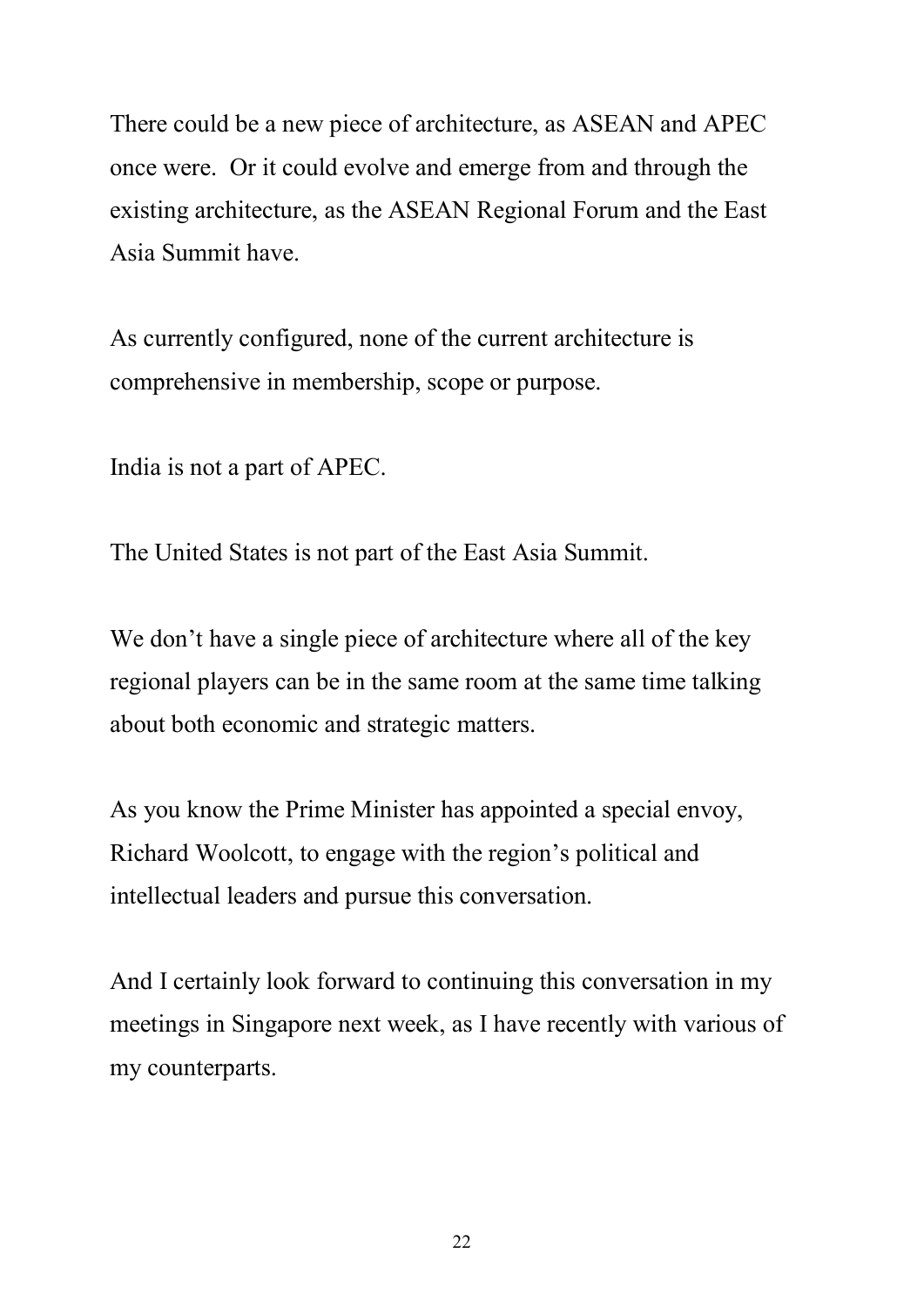There could be a new piece of architecture, as ASEAN and APEC once were. Or it could evolve and emerge from and through the existing architecture, as the ASEAN Regional Forum and the East Asia Summit have.

As currently configured, none of the current architecture is comprehensive in membership, scope or purpose.

India is not a part of APEC.

The United States is not part of the East Asia Summit.

We don't have a single piece of architecture where all of the key regional players can be in the same room at the same time talking about both economic and strategic matters.

As you know the Prime Minister has appointed a special envoy, Richard Woolcott, to engage with the region's political and intellectual leaders and pursue this conversation.

And I certainly look forward to continuing this conversation in my meetings in Singapore next week, as I have recently with various of my counterparts.